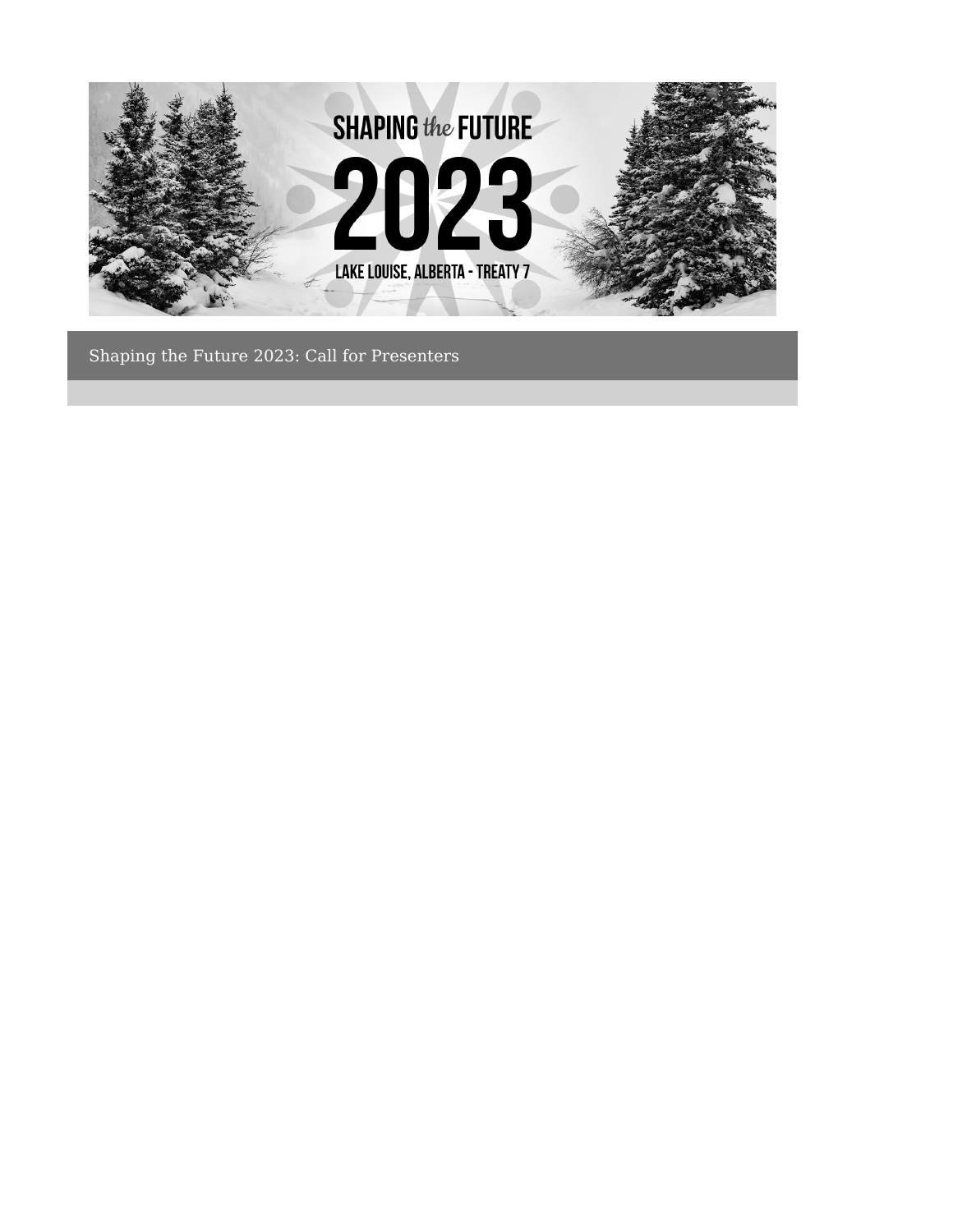

Shaping the Future 2023: Call for Presenters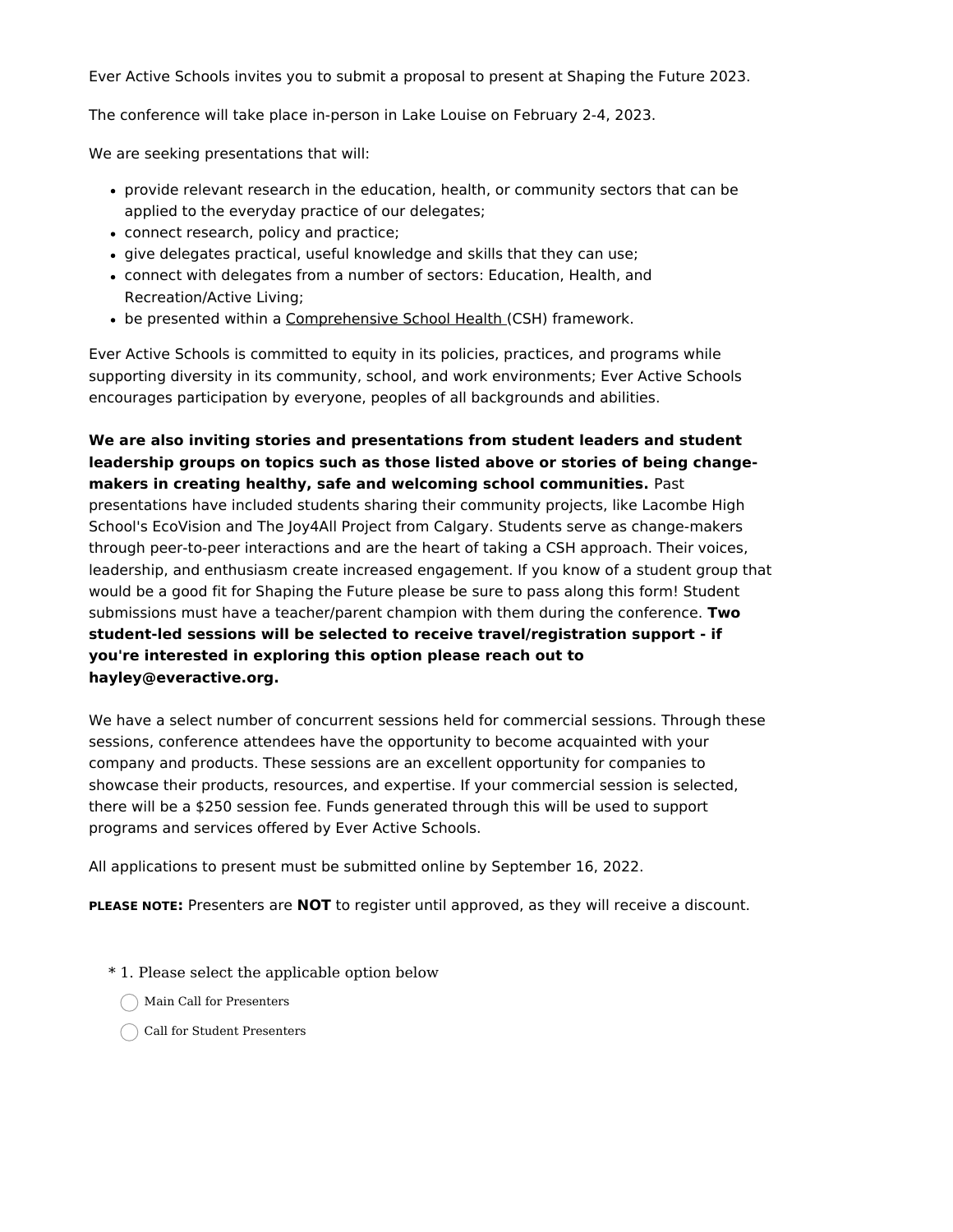Ever Active Schools invites you to submit a proposal to present at Shaping the Future 2023.

The conference will take place in-person in Lake Louise on February 2-4, 2023.

We are seeking presentations that will:

- provide relevant research in the education, health, or community sectors that can be applied to the everyday practice of our delegates;
- connect research, policy and practice;
- give delegates practical, useful knowledge and skills that they can use;
- connect with delegates from a number of sectors: Education, Health, and Recreation/Active Living;
- be presented within a [Comprehensive](http://www.everactive.org/comprehensive-school-health) School Health (CSH) framework.

Ever Active Schools is committed to equity in its policies, practices, and programs while supporting diversity in its community, school, and work environments; Ever Active Schools encourages participation by everyone, peoples of all backgrounds and abilities.

**We are also inviting stories and presentations from student leaders and student leadership groups on topics such as those listed above or stories of being changemakers in creating healthy, safe and welcoming school communities.** Past presentations have included students sharing their community projects, like Lacombe High School's EcoVision and The Joy4All Project from Calgary. Students serve as change-makers through peer-to-peer interactions and are the heart of taking a CSH approach. Their voices, leadership, and enthusiasm create increased engagement. If you know of a student group that would be a good fit for Shaping the Future please be sure to pass along this form! Student submissions must have a teacher/parent champion with them during the conference. **Two student-led sessions will be selected to receive travel/registration support - if you're interested in exploring this option please reach out to hayley@everactive.org.**

We have a select number of concurrent sessions held for commercial sessions. Through these sessions, conference attendees have the opportunity to become acquainted with your company and products. These sessions are an excellent opportunity for companies to showcase their products, resources, and expertise. If your commercial session is selected, there will be a \$250 session fee. Funds generated through this will be used to support programs and services offered by Ever Active Schools.

All applications to present must be submitted online by September 16, 2022.

**PLEASE NOTE:** Presenters are **NOT** to register until approved, as they will receive a discount.

\* 1. Please select the applicable option below

Main Call for Presenters

Call for Student Presenters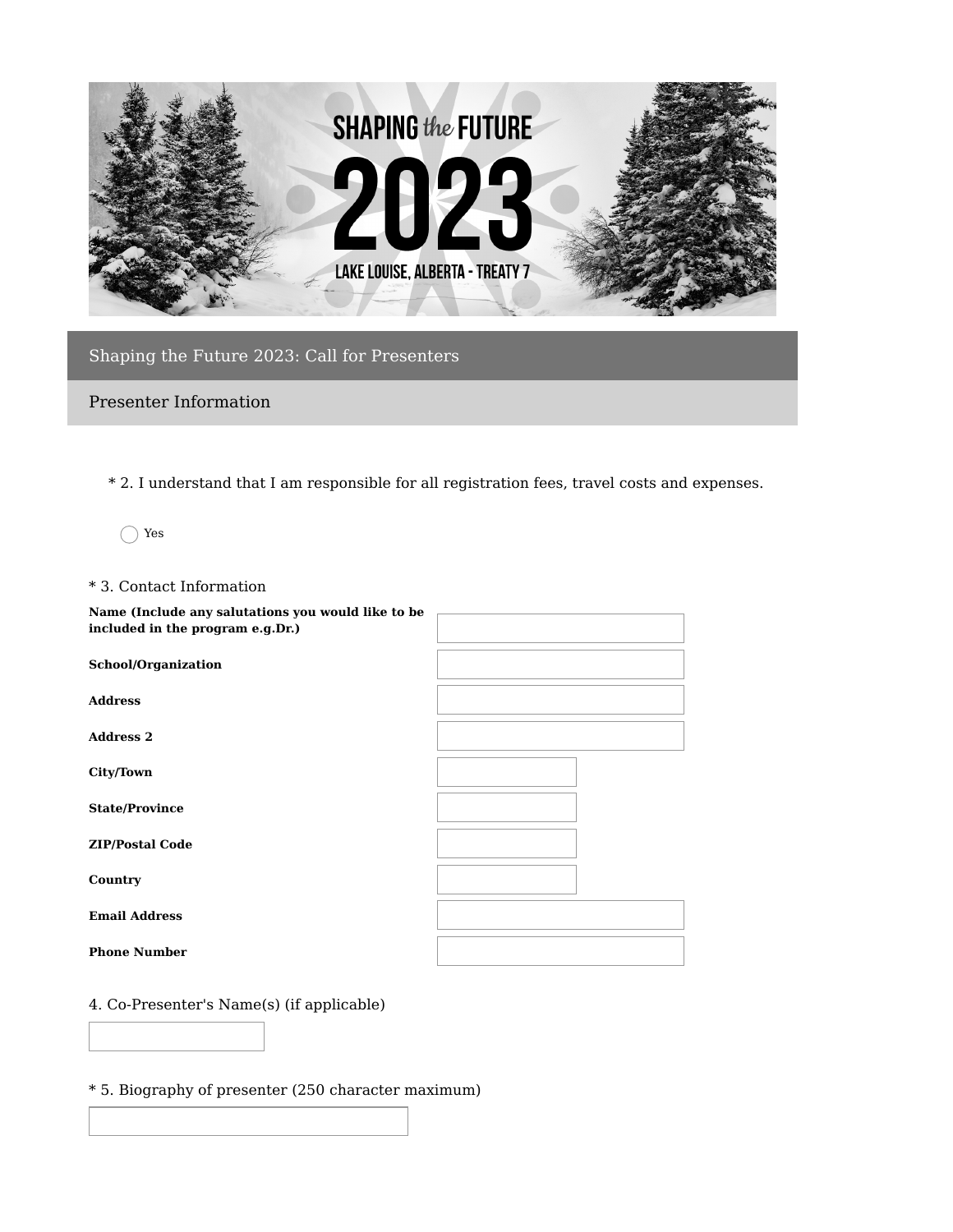

Shaping the Future 2023: Call for Presenters

Presenter Information

\* 2. I understand that I am responsible for all registration fees, travel costs and expenses.

Yes

### \* 3. Contact Information

| Name (Include any salutations you would like to be<br>included in the program e.g.Dr.) |  |
|----------------------------------------------------------------------------------------|--|
| School/Organization                                                                    |  |
| <b>Address</b>                                                                         |  |
| <b>Address 2</b>                                                                       |  |
| City/Town                                                                              |  |
| <b>State/Province</b>                                                                  |  |
| <b>ZIP/Postal Code</b>                                                                 |  |
| Country                                                                                |  |
| <b>Email Address</b>                                                                   |  |
| <b>Phone Number</b>                                                                    |  |

# 4. Co-Presenter's Name(s) (if applicable)

\* 5. Biography of presenter (250 character maximum)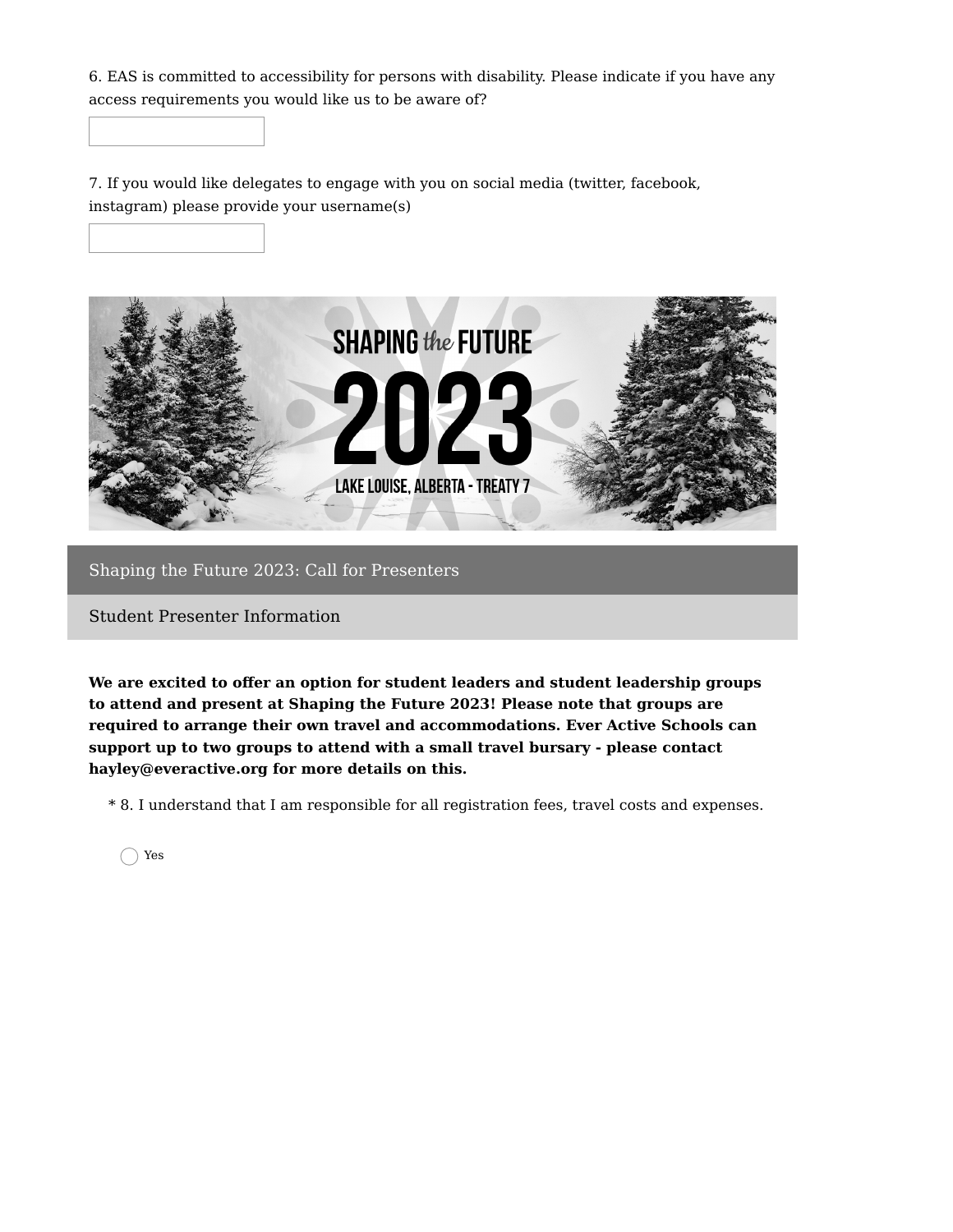6. EAS is committed to accessibility for persons with disability. Please indicate if you have any access requirements you would like us to be aware of?

7. If you would like delegates to engage with you on social media (twitter, facebook, instagram) please provide your username(s)



### Shaping the Future 2023: Call for Presenters

Student Presenter Information

**We are excited to offer an option for student leaders and student leadership groups to attend and present at Shaping the Future 2023! Please note that groups are required to arrange their own travel and accommodations. Ever Active Schools can support up to two groups to attend with a small travel bursary - please contact hayley@everactive.org for more details on this.**

\* 8. I understand that I am responsible for all registration fees, travel costs and expenses.

Yes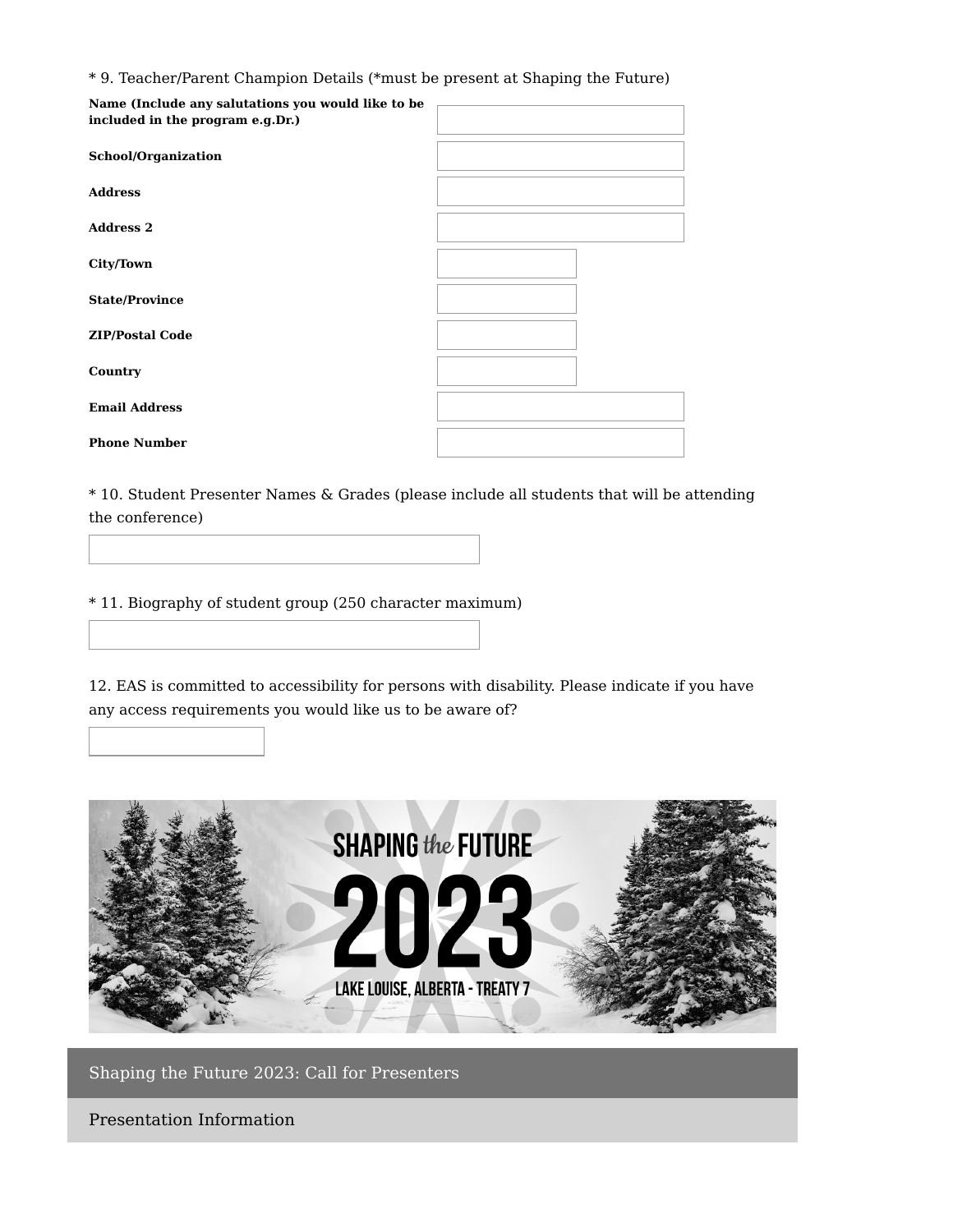\* 9. Teacher/Parent Champion Details (\*must be present at Shaping the Future)

| Name (Include any salutations you would like to be<br>included in the program e.g.Dr.) |  |
|----------------------------------------------------------------------------------------|--|
| <b>School/Organization</b>                                                             |  |
| <b>Address</b>                                                                         |  |
| <b>Address 2</b>                                                                       |  |
| <b>City/Town</b>                                                                       |  |
| <b>State/Province</b>                                                                  |  |
| <b>ZIP/Postal Code</b>                                                                 |  |
| Country                                                                                |  |
| <b>Email Address</b>                                                                   |  |
| <b>Phone Number</b>                                                                    |  |

\* 10. Student Presenter Names & Grades (please include all students that will be attending the conference)

\* 11. Biography of student group (250 character maximum)

12. EAS is committed to accessibility for persons with disability. Please indicate if you have any access requirements you would like us to be aware of?



Shaping the Future 2023: Call for Presenters

Presentation Information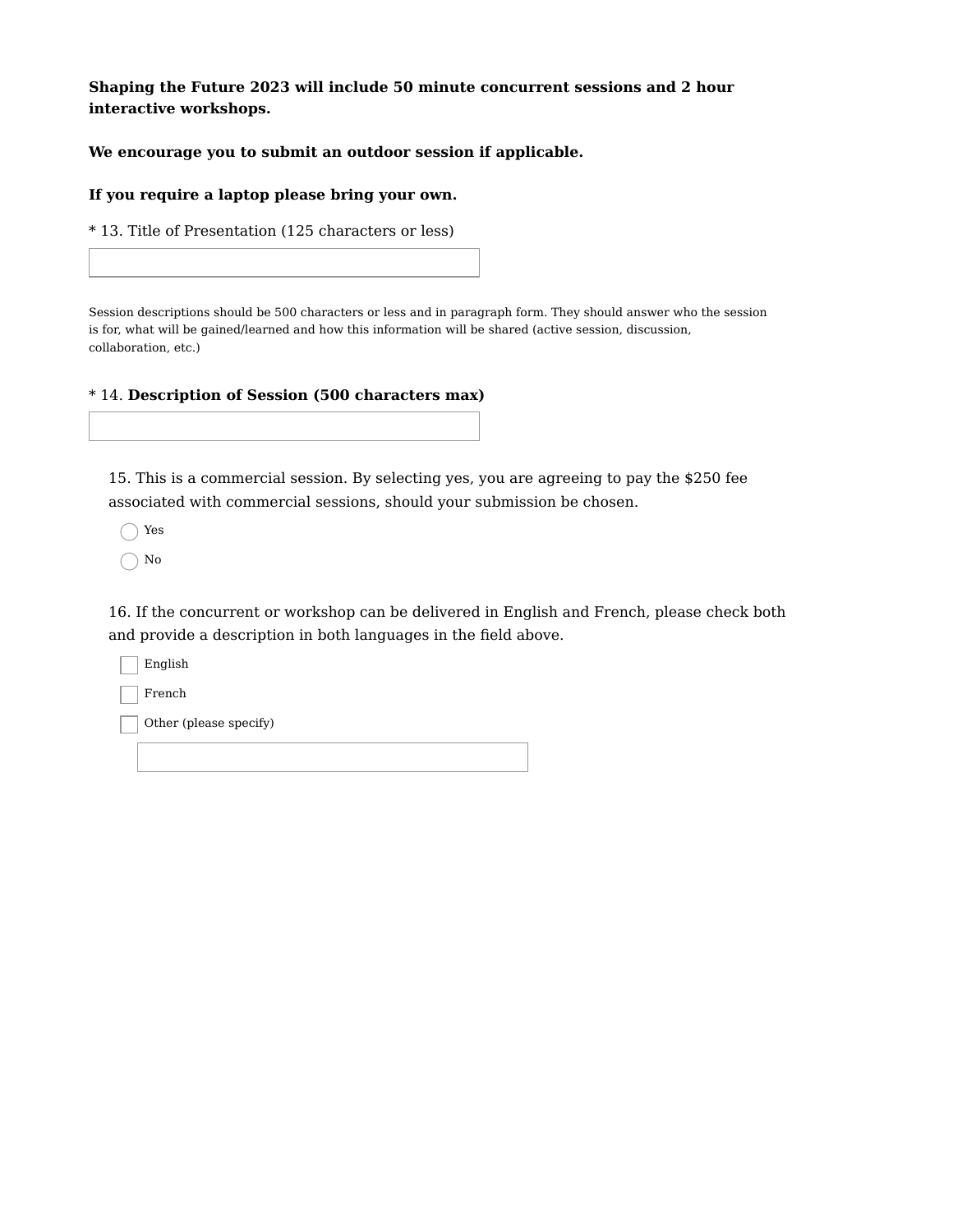**Shaping the Future 2023 will include 50 minute concurrent sessions and 2 hour interactive workshops.**

#### **We encourage you to submit an outdoor session if applicable.**

#### **If you require a laptop please bring your own.**

\* 13. Title of Presentation (125 characters or less)

Session descriptions should be 500 characters or less and in paragraph form. They should answer who the session is for, what will be gained/learned and how this information will be shared (active session, discussion, collaboration, etc.)

### \* 14. **Description of Session (500 characters max)**

15. This is a commercial session. By selecting yes, you are agreeing to pay the \$250 fee associated with commercial sessions, should your submission be chosen.

Yes

No

16. If the concurrent or workshop can be delivered in English and French, please check both and provide a description in both languages in the field above.

English

French

Other (please specify)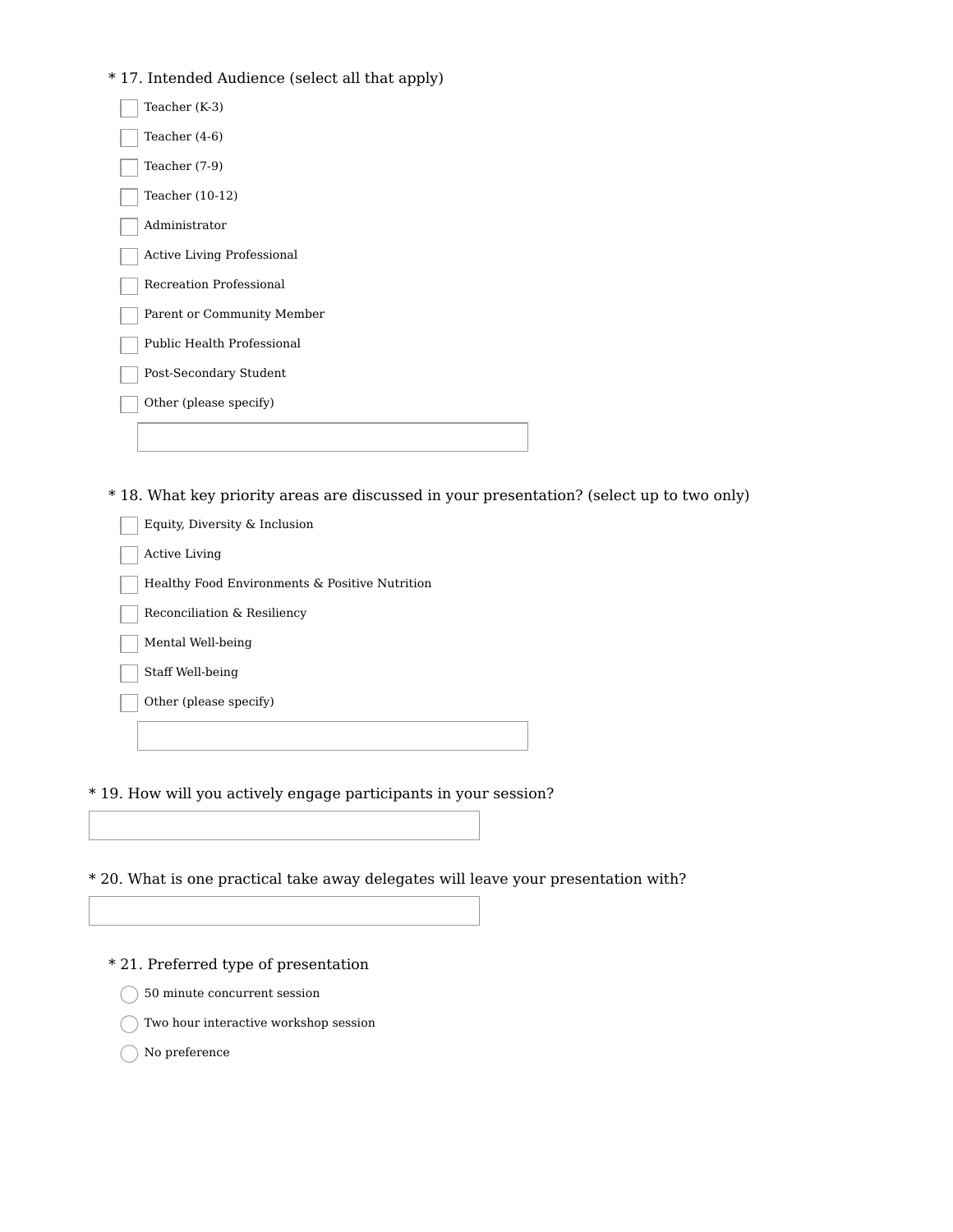## \* 17. Intended Audience (select all that apply)

| Teacher (K-3)                     |
|-----------------------------------|
| Teacher $(4-6)$                   |
| Teacher (7-9)                     |
| Teacher (10-12)                   |
| Administrator                     |
| <b>Active Living Professional</b> |
| Recreation Professional           |
| Parent or Community Member        |
| Public Health Professional        |
| Post-Secondary Student            |
| Other (please specify)            |
|                                   |
|                                   |

\* 18. What key priority areas are discussed in your presentation? (select up to two only)

Equity, Diversity & Inclusion

Active Living

Healthy Food Environments & Positive Nutrition

Reconciliation & Resiliency

Mental Well-being

Staff Well-being

Other (please specify)

\* 19. How will you actively engage participants in your session?

\* 20. What is one practical take away delegates will leave your presentation with?

\* 21. Preferred type of presentation

50 minute concurrent session

Two hour interactive workshop session

No preference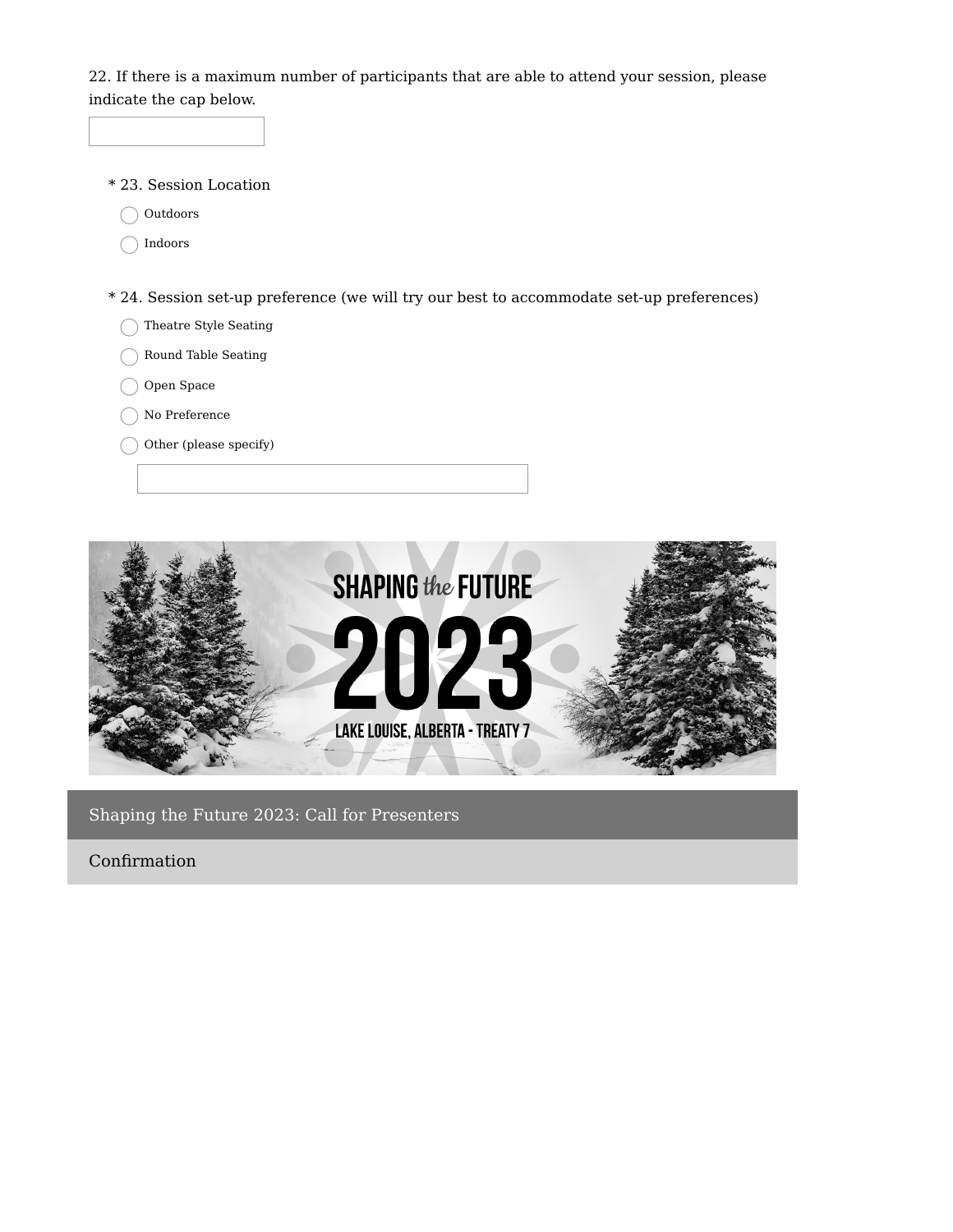22. If there is a maximum number of participants that are able to attend your session, please indicate the cap below.

- \* 23. Session Location
	- ◯ Outdoors
	- ◯ Indoors
- \* 24. Session set-up preference (we will try our best to accommodate set-up preferences)
	- Theatre Style Seating
	- Round Table Seating
	- Open Space
	- No Preference
	- Other (please specify)



Shaping the Future 2023: Call for Presenters

Confirmation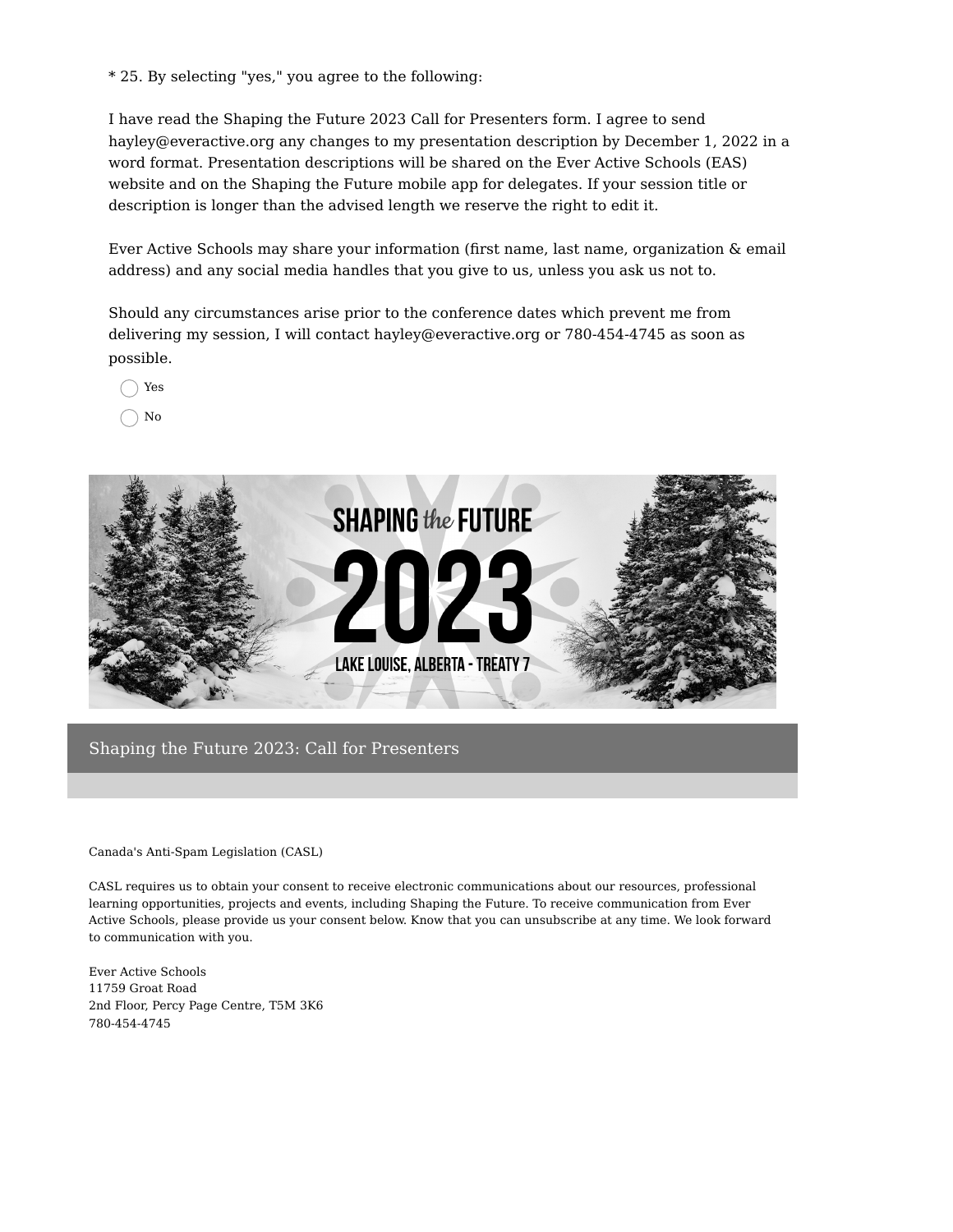\* 25. By selecting "yes," you agree to the following:

I have read the Shaping the Future 2023 Call for Presenters form. I agree to send hayley@everactive.org any changes to my presentation description by December 1, 2022 in a word format. Presentation descriptions will be shared on the Ever Active Schools (EAS) website and on the Shaping the Future mobile app for delegates. If your session title or description is longer than the advised length we reserve the right to edit it.

Ever Active Schools may share your information (first name, last name, organization & email address) and any social media handles that you give to us, unless you ask us not to.

Should any circumstances arise prior to the conference dates which prevent me from delivering my session, I will contact hayley@everactive.org or 780-454-4745 as soon as possible.

Yes

No



Shaping the Future 2023: Call for Presenters

Canada's Anti-Spam Legislation (CASL)

CASL requires us to obtain your consent to receive electronic communications about our resources, professional learning opportunities, projects and events, including Shaping the Future. To receive communication from Ever Active Schools, please provide us your consent below. Know that you can unsubscribe at any time. We look forward to communication with you.

Ever Active Schools 11759 Groat Road 2nd Floor, Percy Page Centre, T5M 3K6 780-454-4745